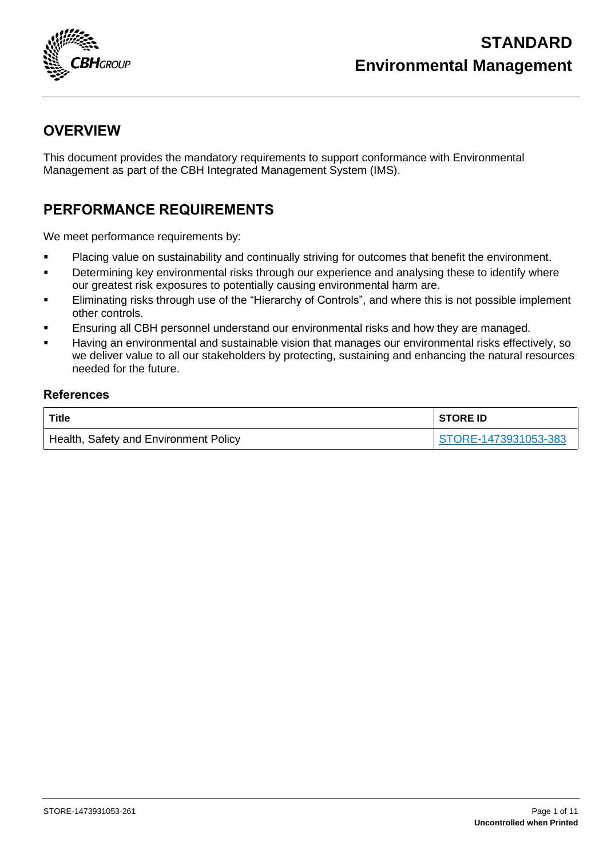

# <span id="page-0-0"></span>**OVERVIEW**

This document provides the mandatory requirements to support conformance with Environmental Management as part of the CBH Integrated Management System (IMS).

# <span id="page-0-1"></span>**PERFORMANCE REQUIREMENTS**

We meet performance requirements by:

- **■** Placing value on sustainability and continually striving for outcomes that benefit the environment.
- **EXEDEREN III Determining key environmental risks through our experience and analysing these to identify where** our greatest risk exposures to potentially causing environmental harm are.
- **Eliminating risks through use of the "Hierarchy of Controls", and where this is not possible implement** other controls.
- Ensuring all CBH personnel understand our environmental risks and how they are managed.
- Having an environmental and sustainable vision that manages our environmental risks effectively, so we deliver value to all our stakeholders by protecting, sustaining and enhancing the natural resources needed for the future.

#### <span id="page-0-2"></span>**References**

| Title                                 | <b>STORE ID</b>      |
|---------------------------------------|----------------------|
| Health, Safety and Environment Policy | STORE-1473931053-383 |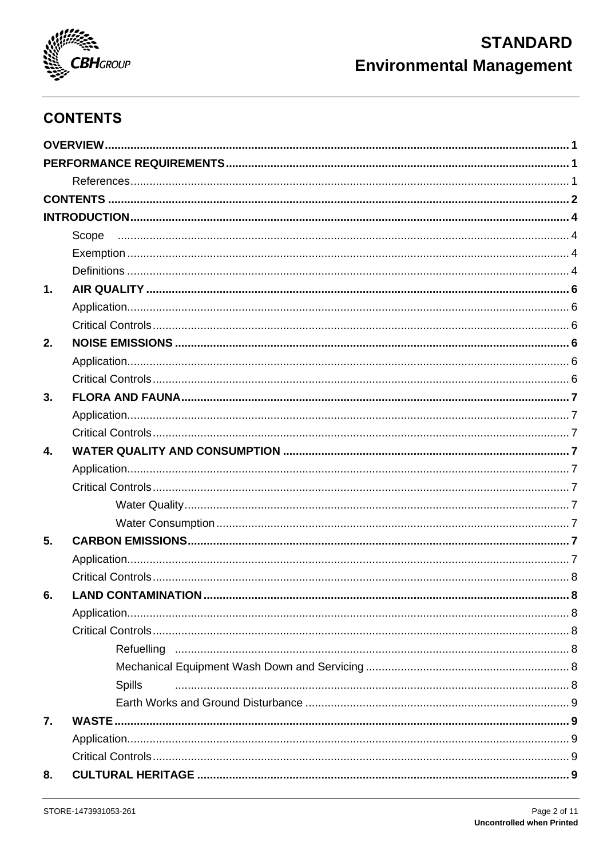

# **STANDARD Environmental Management**

# <span id="page-1-0"></span>**CONTENTS**

|    | Scope                      |     |
|----|----------------------------|-----|
|    |                            |     |
|    |                            |     |
| 1. |                            |     |
|    |                            |     |
|    |                            |     |
| 2. |                            |     |
|    |                            |     |
|    |                            |     |
| 3. |                            |     |
|    |                            |     |
|    |                            |     |
| 4. |                            |     |
|    |                            |     |
|    |                            |     |
|    |                            |     |
|    |                            |     |
| 5. |                            |     |
|    |                            |     |
|    |                            |     |
| 6. | <b>I AND CONTAMINATION</b> | . 8 |
|    |                            |     |
|    |                            |     |
|    |                            |     |
|    |                            |     |
|    | <b>Spills</b>              |     |
|    |                            |     |
| 7. |                            |     |
|    |                            |     |
|    |                            |     |
| 8. |                            |     |
|    |                            |     |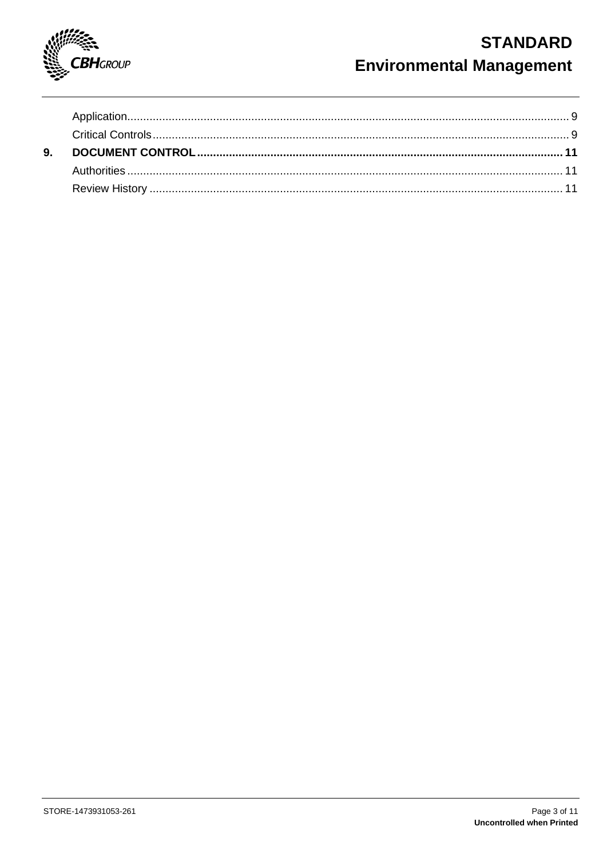

# **STANDARD Environmental Management**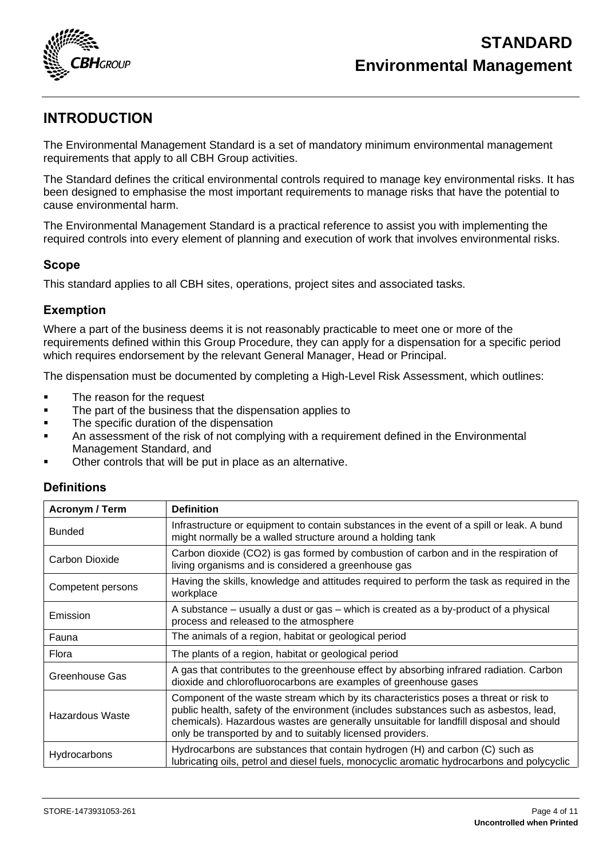

# <span id="page-3-0"></span>**INTRODUCTION**

The Environmental Management Standard is a set of mandatory minimum environmental management requirements that apply to all CBH Group activities.

The Standard defines the critical environmental controls required to manage key environmental risks. It has been designed to emphasise the most important requirements to manage risks that have the potential to cause environmental harm.

The Environmental Management Standard is a practical reference to assist you with implementing the required controls into every element of planning and execution of work that involves environmental risks.

#### <span id="page-3-1"></span>**Scope**

This standard applies to all CBH sites, operations, project sites and associated tasks.

#### <span id="page-3-2"></span>**Exemption**

Where a part of the business deems it is not reasonably practicable to meet one or more of the requirements defined within this Group Procedure, they can apply for a dispensation for a specific period which requires endorsement by the relevant General Manager, Head or Principal.

The dispensation must be documented by completing a High-Level Risk Assessment, which outlines:

- The reason for the request
- The part of the business that the dispensation applies to
- The specific duration of the dispensation
- An assessment of the risk of not complying with a requirement defined in the Environmental Management Standard, and
- Other controls that will be put in place as an alternative.

### <span id="page-3-3"></span>**Definitions**

| <b>Acronym / Term</b> | <b>Definition</b>                                                                                                                                                                                                                                                                                                                     |
|-----------------------|---------------------------------------------------------------------------------------------------------------------------------------------------------------------------------------------------------------------------------------------------------------------------------------------------------------------------------------|
| <b>Bunded</b>         | Infrastructure or equipment to contain substances in the event of a spill or leak. A bund<br>might normally be a walled structure around a holding tank                                                                                                                                                                               |
| Carbon Dioxide        | Carbon dioxide (CO2) is gas formed by combustion of carbon and in the respiration of<br>living organisms and is considered a greenhouse gas                                                                                                                                                                                           |
| Competent persons     | Having the skills, knowledge and attitudes required to perform the task as required in the<br>workplace                                                                                                                                                                                                                               |
| Emission              | A substance – usually a dust or gas – which is created as a by-product of a physical<br>process and released to the atmosphere                                                                                                                                                                                                        |
| Fauna                 | The animals of a region, habitat or geological period                                                                                                                                                                                                                                                                                 |
| Flora                 | The plants of a region, habitat or geological period                                                                                                                                                                                                                                                                                  |
| Greenhouse Gas        | A gas that contributes to the greenhouse effect by absorbing infrared radiation. Carbon<br>dioxide and chlorofluorocarbons are examples of greenhouse gases                                                                                                                                                                           |
| Hazardous Waste       | Component of the waste stream which by its characteristics poses a threat or risk to<br>public health, safety of the environment (includes substances such as asbestos, lead,<br>chemicals). Hazardous wastes are generally unsuitable for landfill disposal and should<br>only be transported by and to suitably licensed providers. |
| Hydrocarbons          | Hydrocarbons are substances that contain hydrogen (H) and carbon (C) such as<br>lubricating oils, petrol and diesel fuels, monocyclic aromatic hydrocarbons and polycyclic                                                                                                                                                            |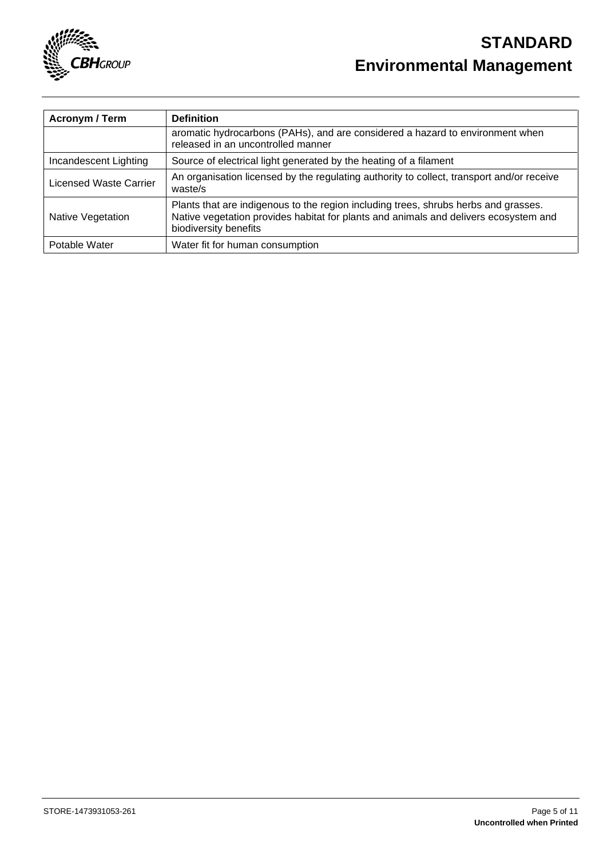

<span id="page-4-0"></span>

| <b>Acronym / Term</b>         | <b>Definition</b>                                                                                                                                                                                    |
|-------------------------------|------------------------------------------------------------------------------------------------------------------------------------------------------------------------------------------------------|
|                               | aromatic hydrocarbons (PAHs), and are considered a hazard to environment when<br>released in an uncontrolled manner                                                                                  |
| Incandescent Lighting         | Source of electrical light generated by the heating of a filament                                                                                                                                    |
| <b>Licensed Waste Carrier</b> | An organisation licensed by the regulating authority to collect, transport and/or receive<br>waste/s                                                                                                 |
| Native Vegetation             | Plants that are indigenous to the region including trees, shrubs herbs and grasses.<br>Native vegetation provides habitat for plants and animals and delivers ecosystem and<br>biodiversity benefits |
| Potable Water                 | Water fit for human consumption                                                                                                                                                                      |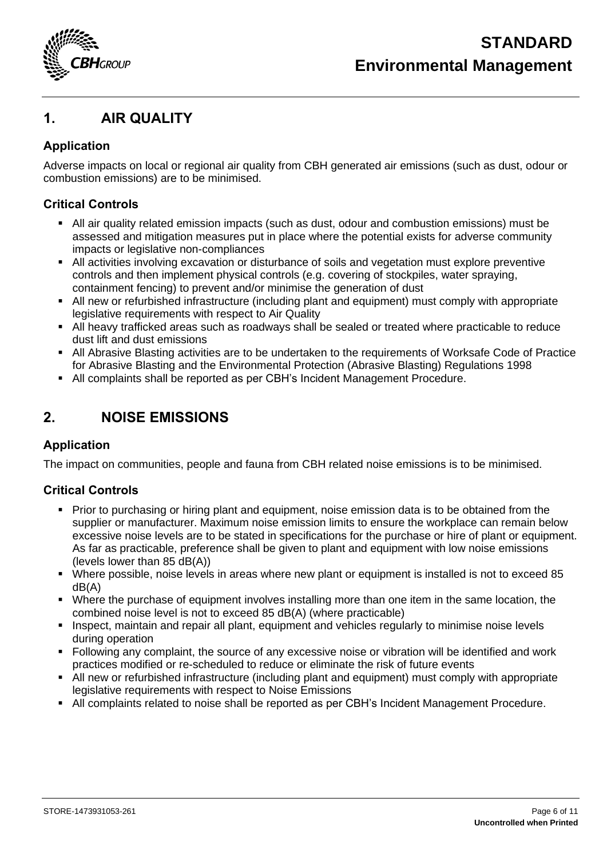

# **1. AIR QUALITY**

# <span id="page-5-0"></span>**Application**

Adverse impacts on local or regional air quality from CBH generated air emissions (such as dust, odour or combustion emissions) are to be minimised.

## <span id="page-5-1"></span>**Critical Controls**

- All air quality related emission impacts (such as dust, odour and combustion emissions) must be assessed and mitigation measures put in place where the potential exists for adverse community impacts or legislative non-compliances
- All activities involving excavation or disturbance of soils and vegetation must explore preventive controls and then implement physical controls (e.g. covering of stockpiles, water spraying, containment fencing) to prevent and/or minimise the generation of dust
- All new or refurbished infrastructure (including plant and equipment) must comply with appropriate legislative requirements with respect to Air Quality
- All heavy trafficked areas such as roadways shall be sealed or treated where practicable to reduce dust lift and dust emissions
- All Abrasive Blasting activities are to be undertaken to the requirements of Worksafe Code of Practice for Abrasive Blasting and the Environmental Protection (Abrasive Blasting) Regulations 1998
- All complaints shall be reported as per CBH's Incident Management Procedure.

# <span id="page-5-2"></span>**2. NOISE EMISSIONS**

### <span id="page-5-3"></span>**Application**

The impact on communities, people and fauna from CBH related noise emissions is to be minimised.

### <span id="page-5-4"></span>**Critical Controls**

- Prior to purchasing or hiring plant and equipment, noise emission data is to be obtained from the supplier or manufacturer. Maximum noise emission limits to ensure the workplace can remain below excessive noise levels are to be stated in specifications for the purchase or hire of plant or equipment. As far as practicable, preference shall be given to plant and equipment with low noise emissions (levels lower than 85 dB(A))
- Where possible, noise levels in areas where new plant or equipment is installed is not to exceed 85 dB(A)
- Where the purchase of equipment involves installing more than one item in the same location, the combined noise level is not to exceed 85 dB(A) (where practicable)
- Inspect, maintain and repair all plant, equipment and vehicles regularly to minimise noise levels during operation
- Following any complaint, the source of any excessive noise or vibration will be identified and work practices modified or re-scheduled to reduce or eliminate the risk of future events
- All new or refurbished infrastructure (including plant and equipment) must comply with appropriate legislative requirements with respect to Noise Emissions
- All complaints related to noise shall be reported as per CBH's Incident Management Procedure.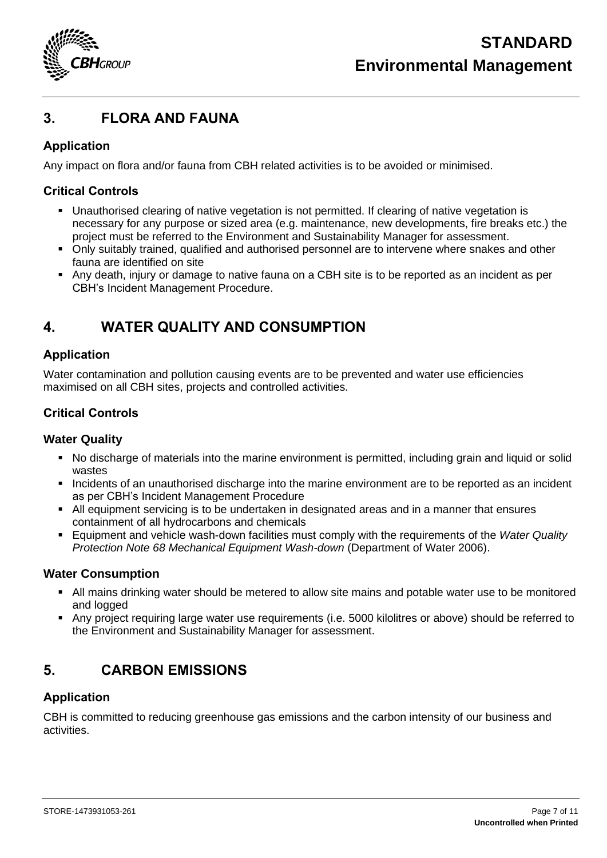

# <span id="page-6-0"></span>**3. FLORA AND FAUNA**

## <span id="page-6-1"></span>**Application**

Any impact on flora and/or fauna from CBH related activities is to be avoided or minimised.

#### <span id="page-6-2"></span>**Critical Controls**

- Unauthorised clearing of native vegetation is not permitted. If clearing of native vegetation is necessary for any purpose or sized area (e.g. maintenance, new developments, fire breaks etc.) the project must be referred to the Environment and Sustainability Manager for assessment.
- Only suitably trained, qualified and authorised personnel are to intervene where snakes and other fauna are identified on site
- Any death, injury or damage to native fauna on a CBH site is to be reported as an incident as per CBH's Incident Management Procedure.

# <span id="page-6-3"></span>**4. WATER QUALITY AND CONSUMPTION**

### <span id="page-6-4"></span>**Application**

Water contamination and pollution causing events are to be prevented and water use efficiencies maximised on all CBH sites, projects and controlled activities.

### <span id="page-6-5"></span>**Critical Controls**

### <span id="page-6-6"></span>**Water Quality**

- No discharge of materials into the marine environment is permitted, including grain and liquid or solid wastes
- Incidents of an unauthorised discharge into the marine environment are to be reported as an incident as per CBH's Incident Management Procedure
- All equipment servicing is to be undertaken in designated areas and in a manner that ensures containment of all hydrocarbons and chemicals
- Equipment and vehicle wash-down facilities must comply with the requirements of the *Water Quality Protection Note 68 Mechanical Equipment Wash-down* (Department of Water 2006).

#### <span id="page-6-7"></span>**Water Consumption**

- All mains drinking water should be metered to allow site mains and potable water use to be monitored and logged
- Any project requiring large water use requirements (i.e. 5000 kilolitres or above) should be referred to the Environment and Sustainability Manager for assessment.

# <span id="page-6-8"></span>**5. CARBON EMISSIONS**

### <span id="page-6-9"></span>**Application**

CBH is committed to reducing greenhouse gas emissions and the carbon intensity of our business and activities.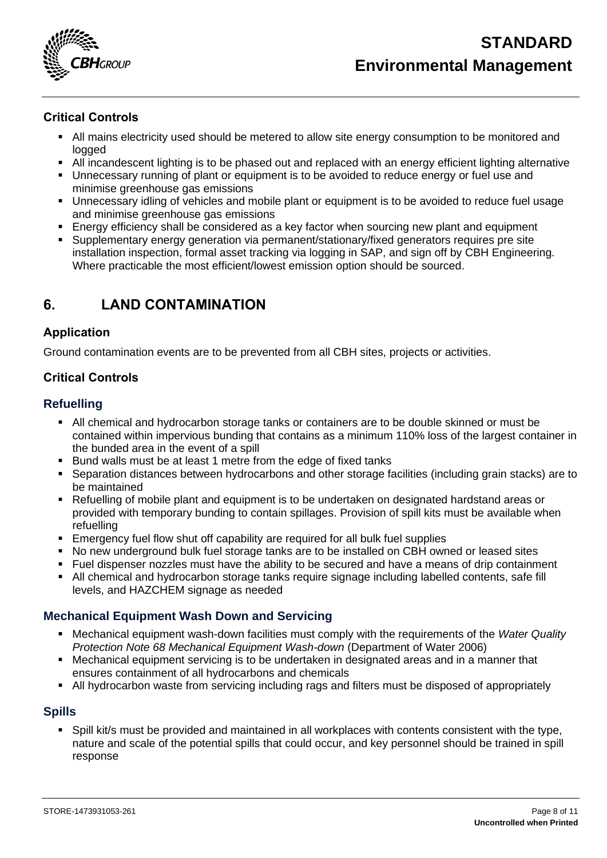

## <span id="page-7-0"></span>**Critical Controls**

- All mains electricity used should be metered to allow site energy consumption to be monitored and logged
- All incandescent lighting is to be phased out and replaced with an energy efficient lighting alternative
- **■** Unnecessary running of plant or equipment is to be avoided to reduce energy or fuel use and minimise greenhouse gas emissions
- Unnecessary idling of vehicles and mobile plant or equipment is to be avoided to reduce fuel usage and minimise greenhouse gas emissions
- Energy efficiency shall be considered as a key factor when sourcing new plant and equipment
- Supplementary energy generation via permanent/stationary/fixed generators requires pre site installation inspection, formal asset tracking via logging in SAP, and sign off by CBH Engineering. Where practicable the most efficient/lowest emission option should be sourced.

# <span id="page-7-1"></span>**6. LAND CONTAMINATION**

### <span id="page-7-2"></span>**Application**

Ground contamination events are to be prevented from all CBH sites, projects or activities.

# <span id="page-7-3"></span>**Critical Controls**

### <span id="page-7-4"></span>**Refuelling**

- **EXECT** All chemical and hydrocarbon storage tanks or containers are to be double skinned or must be contained within impervious bunding that contains as a minimum 110% loss of the largest container in the bunded area in the event of a spill
- Bund walls must be at least 1 metre from the edge of fixed tanks
- Separation distances between hydrocarbons and other storage facilities (including grain stacks) are to be maintained
- Refuelling of mobile plant and equipment is to be undertaken on designated hardstand areas or provided with temporary bunding to contain spillages. Provision of spill kits must be available when refuelling
- **Emergency fuel flow shut off capability are required for all bulk fuel supplies**
- No new underground bulk fuel storage tanks are to be installed on CBH owned or leased sites
- Fuel dispenser nozzles must have the ability to be secured and have a means of drip containment
- **EXECT All chemical and hydrocarbon storage tanks require signage including labelled contents, safe fill** levels, and HAZCHEM signage as needed

### <span id="page-7-5"></span>**Mechanical Equipment Wash Down and Servicing**

- Mechanical equipment wash-down facilities must comply with the requirements of the *Water Quality Protection Note 68 Mechanical Equipment Wash-down* (Department of Water 2006)
- **E** Mechanical equipment servicing is to be undertaken in designated areas and in a manner that ensures containment of all hydrocarbons and chemicals
- All hydrocarbon waste from servicing including rags and filters must be disposed of appropriately

### <span id="page-7-6"></span>**Spills**

▪ Spill kit/s must be provided and maintained in all workplaces with contents consistent with the type, nature and scale of the potential spills that could occur, and key personnel should be trained in spill response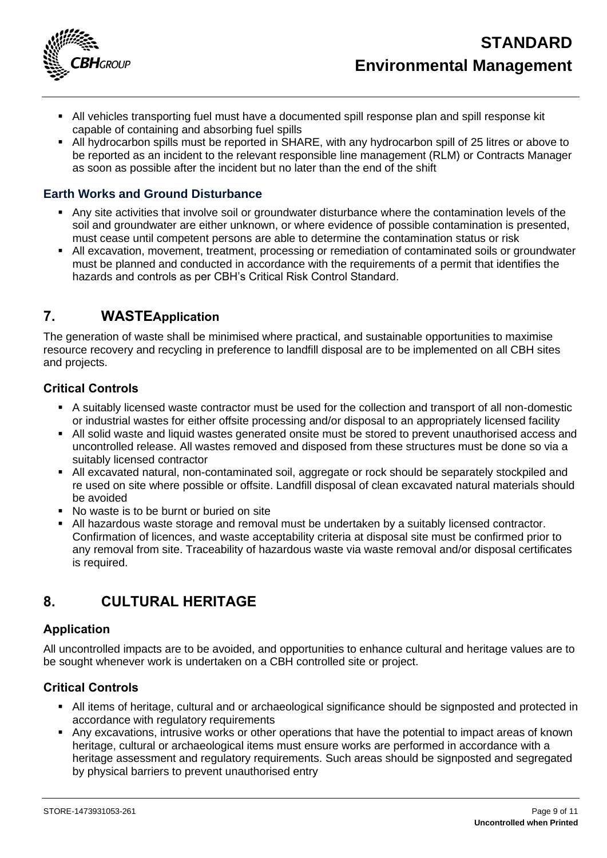

- **All vehicles transporting fuel must have a documented spill response plan and spill response kit** capable of containing and absorbing fuel spills
- All hydrocarbon spills must be reported in SHARE, with any hydrocarbon spill of 25 litres or above to be reported as an incident to the relevant responsible line management (RLM) or Contracts Manager as soon as possible after the incident but no later than the end of the shift

#### <span id="page-8-0"></span>**Earth Works and Ground Disturbance**

- Any site activities that involve soil or groundwater disturbance where the contamination levels of the soil and groundwater are either unknown, or where evidence of possible contamination is presented, must cease until competent persons are able to determine the contamination status or risk
- <span id="page-8-2"></span>**EXT All excavation, movement, treatment, processing or remediation of contaminated soils or groundwater** must be planned and conducted in accordance with the requirements of a permit that identifies the hazards and controls as per CBH's Critical Risk Control Standard.

# <span id="page-8-1"></span>**7. WASTEApplication**

The generation of waste shall be minimised where practical, and sustainable opportunities to maximise resource recovery and recycling in preference to landfill disposal are to be implemented on all CBH sites and projects.

#### <span id="page-8-3"></span>**Critical Controls**

- A suitably licensed waste contractor must be used for the collection and transport of all non-domestic or industrial wastes for either offsite processing and/or disposal to an appropriately licensed facility
- All solid waste and liquid wastes generated onsite must be stored to prevent unauthorised access and uncontrolled release. All wastes removed and disposed from these structures must be done so via a suitably licensed contractor
- All excavated natural, non-contaminated soil, aggregate or rock should be separately stockpiled and re used on site where possible or offsite. Landfill disposal of clean excavated natural materials should be avoided
- No waste is to be burnt or buried on site
- All hazardous waste storage and removal must be undertaken by a suitably licensed contractor. Confirmation of licences, and waste acceptability criteria at disposal site must be confirmed prior to any removal from site. Traceability of hazardous waste via waste removal and/or disposal certificates is required.

# <span id="page-8-4"></span>**8. CULTURAL HERITAGE**

#### <span id="page-8-5"></span>**Application**

All uncontrolled impacts are to be avoided, and opportunities to enhance cultural and heritage values are to be sought whenever work is undertaken on a CBH controlled site or project.

### <span id="page-8-6"></span>**Critical Controls**

- All items of heritage, cultural and or archaeological significance should be signposted and protected in accordance with regulatory requirements
- Any excavations, intrusive works or other operations that have the potential to impact areas of known heritage, cultural or archaeological items must ensure works are performed in accordance with a heritage assessment and regulatory requirements. Such areas should be signposted and segregated by physical barriers to prevent unauthorised entry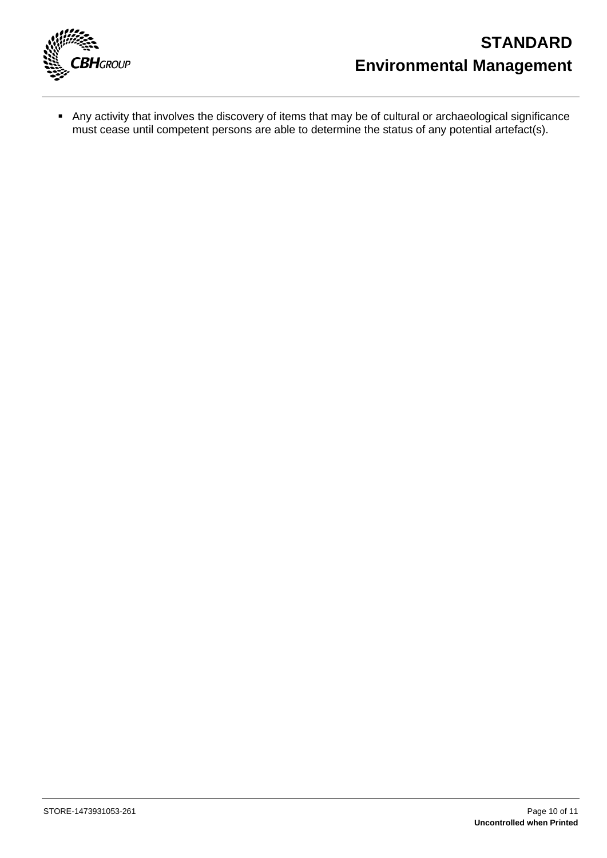

■ Any activity that involves the discovery of items that may be of cultural or archaeological significance must cease until competent persons are able to determine the status of any potential artefact(s).